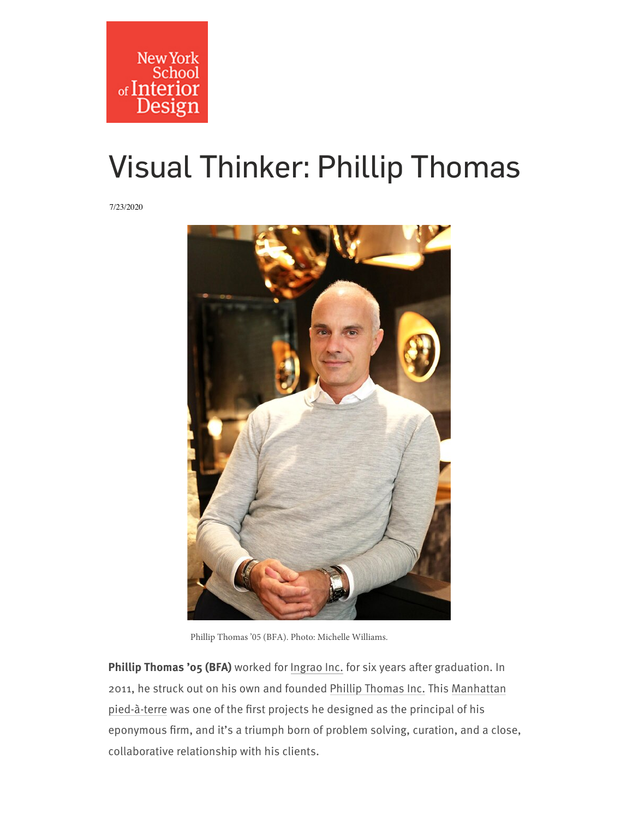## [Visual Thinker: Phillip Thomas](https://www.nysid.edu/coronavirus)

7/23/2020



Phillip Thomas '05 (BFA). Photo: Michelle Williams.

Phillip Thomas '05 (BFA) worked for [Ingrao Inc.](https://ingraoinc.com/) for six years after graduation. In 2011, he struck out on his own and founded [Phillip Thomas Inc.](https://www.phillipthomasinc.com/) This Manhattan pied-à-terre was one of the first projects he designed as the principal of his eponymous firm, and it's a triumph born of problem solving, curation, and a close, collaborative relationship with his clients.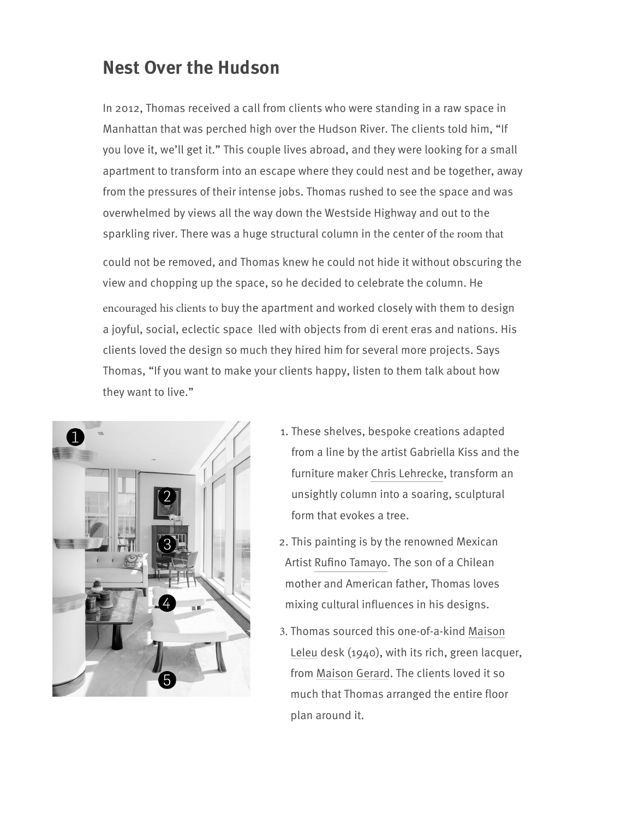## [Nest Over](https://www.nysid.edu/) the Hudson

In 2012, Thomas received a call from clients who were standing in a raw space in Manhattan that was perched high over the Hudson River. The clients told him, "If you love it, we'll get it." This couple lives abroad, and they were looking for a small apartment to transform into an escape where they could nest and be together, away from the pressures of their intense jobs. Thomas rushed to see the space and was overwhelmed by views all the way down the Westside Highway and out to the sparkling river. There was a huge structural column in the center of the room that

could not be removed, and Thomas knew he could not hide it without obscuring the view and chopping up the space, so he decided to celebrate the column. He encouraged his clients to buy the apartment and worked closely with them to design a joyful, social, eclectic space lled with objects from di erent eras and nations. His clients loved the design so much they hired him for several more projects. Says Thomas, "If you want to make your clients happy, listen to them talk about how they want to live."



- 1. These shelves, bespoke creations adapted from a line by the artist Gabriella Kiss and the furniture maker [Chris Lehrecke](https://chrislehrecke.com/), transform an unsightly column into a soaring, sculptural form that evokes a tree.
- [2. This painting is by the renow](https://www.maisonleleu.com/)ned Mexican Artist Rufino Tamayo. The son of a Chilean mother and American father, Thomas loves mixing cultural influences in his designs.
- 3. Thomas sourced this one-of-a-kind Maison Leleu desk (1940), with its rich, green lacquer, from [Maison Gerard](http://www.maisongerard.com/). The clients loved it so much that Thomas arranged the entire floor plan around it.